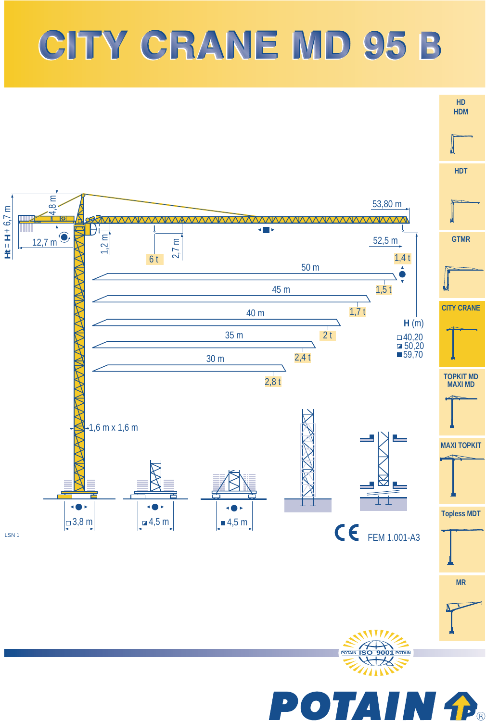## CITY CRANE MD 95 B

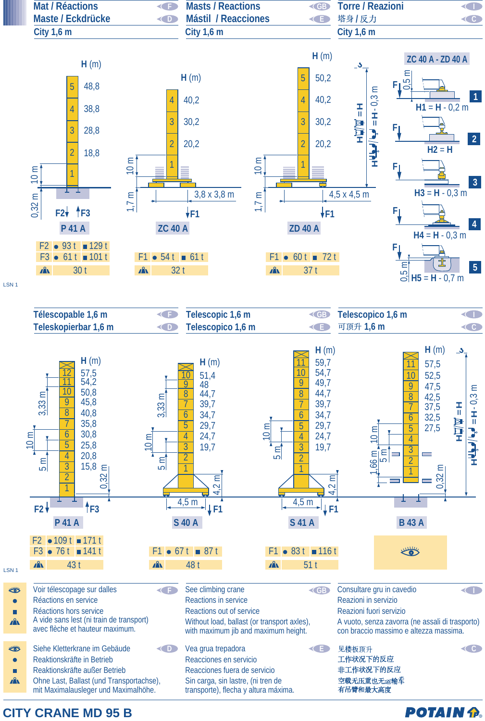

**CITY CRANE MD 95 B** 

**POTAIN P.**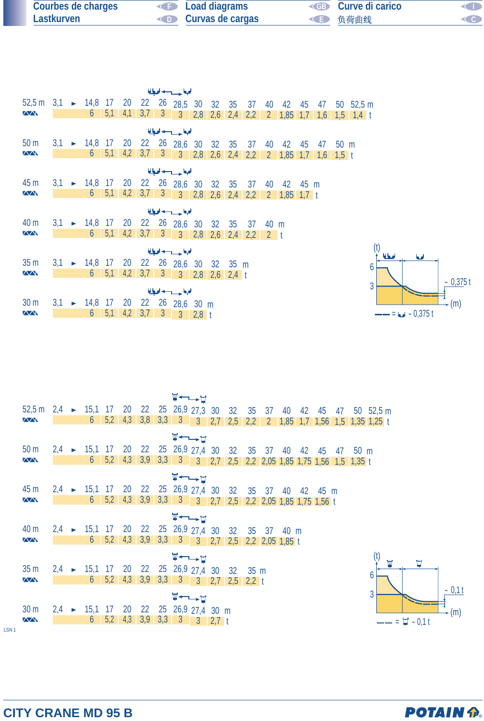| Courbes de charges | <b>Example 2</b> Load diagrams | <b>ED</b> Curve di carico | <b>KID</b> |
|--------------------|--------------------------------|---------------------------|------------|
| Lastkurven         | <b>Curvas de cargas</b>        | ◆■ 负荷曲线                   | CO         |

|                                                         |  |                                                     |     |     |  | الملوا حسيب اديا      |     |         |                   |       |                |      |             |                |                                                                |
|---------------------------------------------------------|--|-----------------------------------------------------|-----|-----|--|-----------------------|-----|---------|-------------------|-------|----------------|------|-------------|----------------|----------------------------------------------------------------|
| 52,5 m 3,1 > 14,8 17 20 22 26 28,5 30 32 35 37 40 42 45 |  |                                                     |     |     |  |                       |     |         |                   |       |                |      |             |                | 47 50 52,5 m                                                   |
| $\sqrt{N}$                                              |  | $6-1$                                               | 5,1 | 4,1 |  | $3,7$ $3$ $3$ $2,8$   | 2,6 |         | $2,4$ 2,2         |       |                |      |             |                | $2 \quad 1,85 \quad 1,7 \quad 1,6 \quad 1,5 \quad 1,4 \quad t$ |
|                                                         |  |                                                     |     |     |  | الملجا حسب لحبا       |     |         |                   |       |                |      |             |                |                                                                |
| 50 <sub>m</sub>                                         |  | $3,1 \rightarrow 14,8$ 17 20 22 26 28,6 30 32 35 37 |     |     |  |                       |     |         |                   | 40    | 42             | 45   | 47          | $50 \text{ m}$ |                                                                |
| $\sqrt{N}$                                              |  | 6                                                   | 5,1 | 4,2 |  | $3,7$ $3$ $3$ $2,8$   |     |         | $2,6$ $2,4$ $2,2$ |       | $2 \quad 1,85$ | 1,7  | $1,6$ 1,5 t |                |                                                                |
|                                                         |  |                                                     |     |     |  | الملجا حسب لحبا       |     |         |                   |       |                |      |             |                |                                                                |
| 45 m                                                    |  | $3,1 \rightarrow 14,8$ 17 20 22 26 28,6 30 32 35    |     |     |  |                       |     |         | 37                | 40    | 42             | 45 m |             |                |                                                                |
| $\sqrt{N}$                                              |  | $6-1$                                               | 5,1 | 4,2 |  | $3,7$ 3 3 2,8 2,6     |     | 2,4     | 2,2               |       | 2 $1,85$ 1,7 t |      |             |                |                                                                |
|                                                         |  |                                                     |     |     |  | الملجا حسيب اديا      |     |         |                   |       |                |      |             |                |                                                                |
| 40 m                                                    |  | $3,1 \rightarrow 14,8$ 17 20 22 26 28,6 30 32 35    |     |     |  |                       |     |         | 37                | 40 m  |                |      |             |                |                                                                |
| $\sqrt{N}$                                              |  | $6-1$                                               | 5,1 | 4,2 |  | $3,7$ $3$ $3$ $2,8$   | 2,6 |         | $2,4$ 2,2         | $2-1$ |                |      |             |                |                                                                |
|                                                         |  |                                                     |     |     |  | الملجا حسيب اديا      |     |         |                   |       |                |      |             |                |                                                                |
| 35 <sub>m</sub>                                         |  | $3,1 \rightarrow 14,8 \quad 17 \quad 20$            |     |     |  | 22 26 28,6 30 32 35 m |     |         |                   |       |                |      |             |                | 6                                                              |
| $\sqrt{N}$                                              |  | 6                                                   | 5,1 | 4,2 |  | $3,7$ $3$ $3$ $2,8$   | 2,6 | $2,4$ t |                   |       |                |      |             |                |                                                                |
|                                                         |  |                                                     |     |     |  | الملجا حسيب ادبا      |     |         |                   |       |                |      |             |                | $\mathbf{3}$                                                   |
| 30 <sub>m</sub>                                         |  | $3,1 \rightarrow 14,8$ 17 20 22 26 28,6 30 m        |     |     |  |                       |     |         |                   |       |                |      |             |                |                                                                |

2,8

t

6 5,1 4,2 3,7 3 3



|                                                                           |  |                                                         |                         |  | ⊻←─≻Д                                                     |  |  |  |  |                                                                                                    |                                                         |                    |
|---------------------------------------------------------------------------|--|---------------------------------------------------------|-------------------------|--|-----------------------------------------------------------|--|--|--|--|----------------------------------------------------------------------------------------------------|---------------------------------------------------------|--------------------|
| 52,5 m 2,4 > 15,1 17 20 22 25 26,9 27,3 30 32 35 37 40 42 45 47 50 52,5 m |  |                                                         |                         |  |                                                           |  |  |  |  |                                                                                                    |                                                         |                    |
| $\sqrt{N}$                                                                |  |                                                         | $6 \quad 5,2 \quad 4,3$ |  |                                                           |  |  |  |  |                                                                                                    | 3,8 3,3 3 3 2,7 2,5 2,2 2 1,85 1,7 1,56 1,5 1,35 1,25 t |                    |
|                                                                           |  |                                                         |                         |  | ⊻←←⊨                                                      |  |  |  |  |                                                                                                    |                                                         |                    |
| 50 <sub>m</sub>                                                           |  |                                                         |                         |  |                                                           |  |  |  |  | 2,4 ► 15,1 17 20 22 25 26,9 27,4 30 32 35 37 40 42 45 47 50 m                                      |                                                         |                    |
| $\sqrt{N}$                                                                |  |                                                         |                         |  |                                                           |  |  |  |  | $6$   5,2   4,3   3,9   3,3   3   3   2,7   2,5   2,2   2,05   1,85   1,75   1,56   1,5   1,35   1 |                                                         |                    |
|                                                                           |  |                                                         |                         |  | <del>W←</del>                                             |  |  |  |  |                                                                                                    |                                                         |                    |
| 45 m                                                                      |  | 2,4 ► 15,1 17 20 22 25 26,9 27,4 30 32 35 37 40 42 45 m |                         |  |                                                           |  |  |  |  |                                                                                                    |                                                         |                    |
| <b>AVV</b>                                                                |  | $6 \t 5,2 \t 4,3$                                       |                         |  | 3,9 3,3 3 3 2,7 2,5 2,2 2,05 1,85 1,75 1,56 t             |  |  |  |  |                                                                                                    |                                                         |                    |
|                                                                           |  |                                                         |                         |  | $\Psi \leftarrow \rightarrow \Box$                        |  |  |  |  |                                                                                                    |                                                         |                    |
| 40 m                                                                      |  | 2,4 ► 15,1 17 20 22 25 26,9 27,4 30 32 35 37 40 m       |                         |  |                                                           |  |  |  |  |                                                                                                    |                                                         |                    |
| $\overline{\triangle\triangle}$                                           |  | $6 \t 5,2 \t 4,3$                                       |                         |  | $3,9$ $3,3$ $3$ $3$ $3$ $2,7$ $2,5$ $2,2$ $2,05$ $1,85$ t |  |  |  |  |                                                                                                    |                                                         |                    |
|                                                                           |  |                                                         |                         |  |                                                           |  |  |  |  |                                                                                                    |                                                         |                    |
|                                                                           |  |                                                         |                         |  | <b>W←—–⊔</b>                                              |  |  |  |  |                                                                                                    |                                                         | Ħ                  |
| 35 <sub>m</sub><br>$\sqrt{N}$                                             |  | $2,4$ > 15,1 17 20 22 25 26,9 27,4 30 32 35 m           |                         |  |                                                           |  |  |  |  |                                                                                                    | h                                                       |                    |
|                                                                           |  |                                                         |                         |  |                                                           |  |  |  |  |                                                                                                    |                                                         |                    |
|                                                                           |  |                                                         |                         |  | W←←                                                       |  |  |  |  |                                                                                                    | 3                                                       |                    |
| 30 <sub>m</sub>                                                           |  | 2,4 ► 15,1 17 20 22 25 26,9 27,4 30 m                   |                         |  |                                                           |  |  |  |  |                                                                                                    |                                                         |                    |
| <b>AAN</b>                                                                |  |                                                         | $6 \t 5,2 \t 4,3$       |  | $3,9$ $3,3$ $3$ $3$ $2,7$ t                               |  |  |  |  |                                                                                                    |                                                         | $=$ $\Box$ - 0.1 t |
|                                                                           |  |                                                         |                         |  |                                                           |  |  |  |  |                                                                                                    |                                                         |                    |

LSN 1



 $(m)$ 

 $-0,11$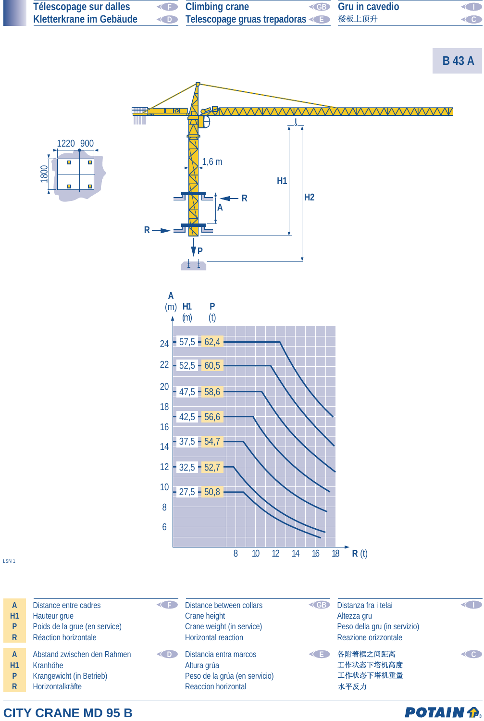

**CITY CRANE MD 95 B**

**POTAIN P.**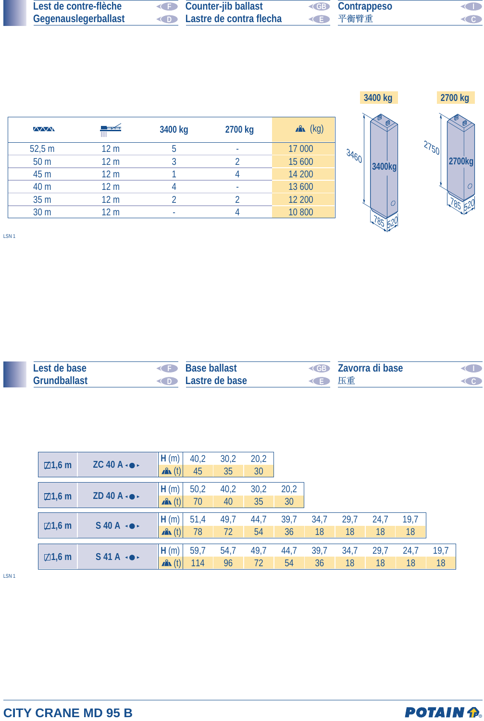| Lest de contre-flèche | Counter-jib ballast                      | <b>ED</b> Contrappeso | $\lhd$  |
|-----------------------|------------------------------------------|-----------------------|---------|
| Gegenauslegerballast  | <b>Example 2</b> Lastre de contra flecha | ◆ ● 平衡臂重              | $\lt$ 0 |



| <b>MM</b>       | ┡╾┵╤            | 3400 kg | 2700 kg | $x^2$ (kg) |
|-----------------|-----------------|---------|---------|------------|
| 52,5 m          | 12 <sub>m</sub> | 5       | ۰       | 17 000     |
| 50 <sub>m</sub> | 12 <sub>m</sub> |         |         | 15 600     |
| 45 m            | 12 <sub>m</sub> |         |         | 14 200     |
| 40 m            | 12 <sub>m</sub> |         | ۰       | 13 600     |
| 35 m            | 12 <sub>m</sub> |         | ∩       | 12 200     |
| 30 m            | 12 <sub>m</sub> |         |         | 10 800     |

LSN 1

| Lest de base | <b>CED</b> | <b>Base ballast</b>             |      | <b>Example 2</b> Zavorra di base | ŒD |
|--------------|------------|---------------------------------|------|----------------------------------|----|
| Grundballast |            | <b>Example 2</b> Lastre de base | ◆ 压重 |                                  | CC |

| $\boxtimes$ 1,6 m | $ZC$ 40 A $\cdot$             | H(m)             | 40,2 | 30,2 | 20,2 |      |      |      |      |      |      |
|-------------------|-------------------------------|------------------|------|------|------|------|------|------|------|------|------|
|                   |                               | $\mathbf{A}$ (t) | 45   | 35   | 30   |      |      |      |      |      |      |
|                   |                               | H(m)             | 50,2 | 40,2 | 30,2 | 20,2 |      |      |      |      |      |
| $\boxtimes$ 1,6 m | ZD 40 A $\cdot \bullet \cdot$ | $\mathbf{A}$ (t) | 70   | 40   | 35   | 30   |      |      |      |      |      |
|                   |                               | H(m)             | 51,4 | 49,7 | 44,7 | 39,7 | 34,7 | 29,7 | 24,7 | 19,7 |      |
| $\boxtimes$ 1,6 m | $S$ 40 A $\rightarrow$        | $\mathbf{A}$ (t) | 78   | 72   | 54   | 36   | 18   | 18   | 18   | 18   |      |
|                   |                               | H(m)             | 59,7 | 54,7 | 49,7 | 44,7 | 39,7 | 34,7 | 29,7 | 24,7 | 19,7 |
| $\boxtimes$ 1,6 m | $S$ 41A $\leftrightarrow$     | $x^2$ (t)        | 114  | 96   | 72   | 54   | 36   | 18   | 18   | 18   | 18   |

LSN 1